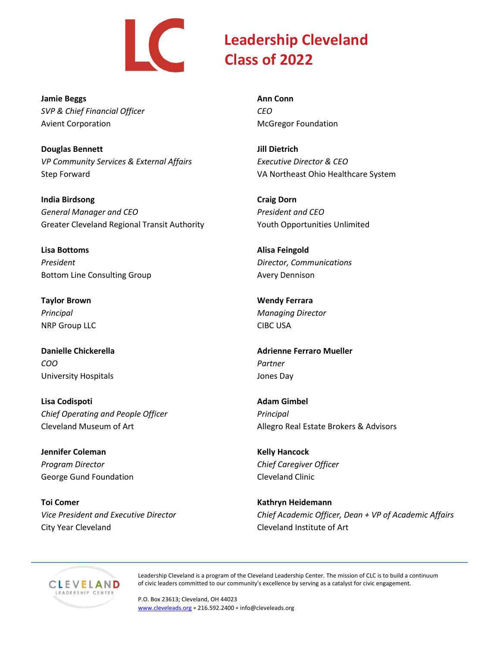

**Jamie Beggs** *SVP & Chief Financial Officer* Avient Corporation

**Douglas Bennett** *VP Community Services & External Affairs* Step Forward

**India Birdsong** *General Manager and CEO* Greater Cleveland Regional Transit Authority

**Lisa Bottoms** *President* Bottom Line Consulting Group

**Taylor Brown** *Principal* NRP Group LLC

**Danielle Chickerella** *COO* University Hospitals

**Lisa Codispoti** *Chief Operating and People Officer* Cleveland Museum of Art

**Jennifer Coleman** *Program Director* George Gund Foundation

**Toi Comer** *Vice President and Executive Director* City Year Cleveland

**Ann Conn** *CEO* McGregor Foundation

**Jill Dietrich** *Executive Director & CEO* VA Northeast Ohio Healthcare System

**Craig Dorn** *President and CEO* Youth Opportunities Unlimited

**Alisa Feingold** *Director, Communications* Avery Dennison

**Wendy Ferrara** *Managing Director* CIBC USA

**Adrienne Ferraro Mueller** *Partner* Jones Day

**Adam Gimbel** *Principal* Allegro Real Estate Brokers & Advisors

**Kelly Hancock** *Chief Caregiver Officer* Cleveland Clinic

**Kathryn Heidemann** *Chief Academic Officer, Dean + VP of Academic Affairs* Cleveland Institute of Art



Leadership Cleveland is a program of the Cleveland Leadership Center. The mission of CLC is to build a continuum of civic leaders committed to our community's excellence by serving as a catalyst for civic engagement.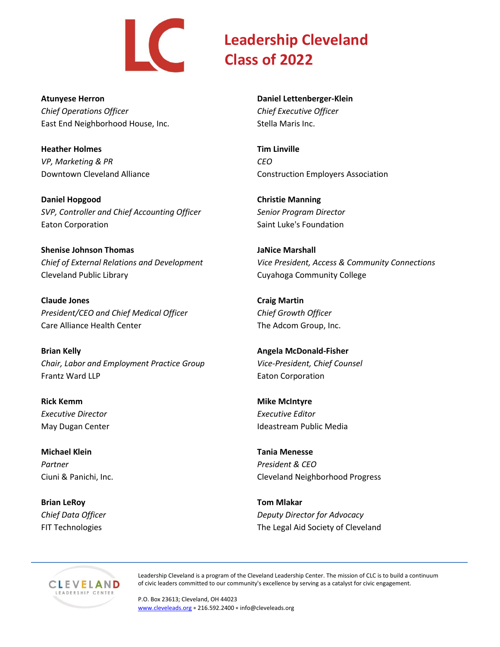

**Atunyese Herron**

*Chief Operations Officer* East End Neighborhood House, Inc.

**Heather Holmes** *VP, Marketing & PR* Downtown Cleveland Alliance

**Daniel Hopgood** *SVP, Controller and Chief Accounting Officer* Eaton Corporation

**Shenise Johnson Thomas** *Chief of External Relations and Development* Cleveland Public Library

**Claude Jones** *President/CEO and Chief Medical Officer* Care Alliance Health Center

**Brian Kelly** *Chair, Labor and Employment Practice Group* Frantz Ward LLP

**Rick Kemm** *Executive Director* May Dugan Center

**Michael Klein** *Partner* Ciuni & Panichi, Inc.

**Brian LeRoy** *Chief Data Officer* FIT Technologies

**Daniel Lettenberger-Klein** *Chief Executive Officer* Stella Maris Inc.

**Tim Linville** *CEO* Construction Employers Association

**Christie Manning** *Senior Program Director* Saint Luke's Foundation

**JaNice Marshall** *Vice President, Access & Community Connections* Cuyahoga Community College

**Craig Martin** *Chief Growth Officer* The Adcom Group, Inc.

**Angela McDonald-Fisher** *Vice-President, Chief Counsel* Eaton Corporation

**Mike McIntyre** *Executive Editor* Ideastream Public Media

**Tania Menesse** *President & CEO* Cleveland Neighborhood Progress

**Tom Mlakar** *Deputy Director for Advocacy* The Legal Aid Society of Cleveland



Leadership Cleveland is a program of the Cleveland Leadership Center. The mission of CLC is to build a continuum of civic leaders committed to our community's excellence by serving as a catalyst for civic engagement.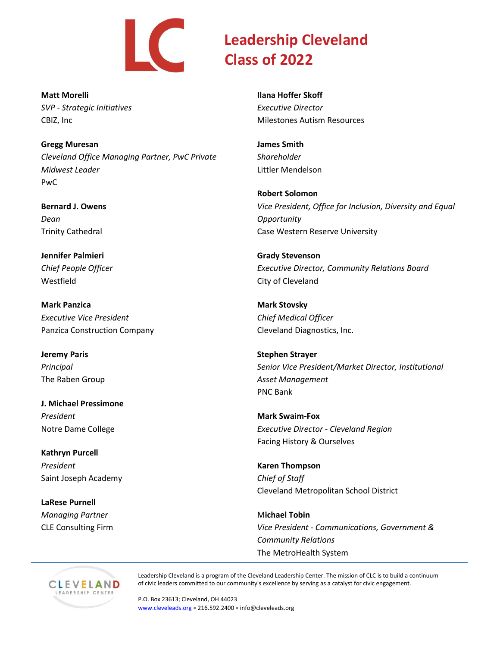

**Matt Morelli** *SVP - Strategic Initiatives* CBIZ, Inc

**Gregg Muresan** *Cleveland Office Managing Partner, PwC Private Midwest Leader* PwC

**Bernard J. Owens** *Dean* Trinity Cathedral

**Jennifer Palmieri** *Chief People Officer* Westfield

**Mark Panzica** *Executive Vice President* Panzica Construction Company

**Jeremy Paris** *Principal* The Raben Group

**J. Michael Pressimone** *President* Notre Dame College

**Kathryn Purcell** *President* Saint Joseph Academy

**LaRese Purnell** *Managing Partner* CLE Consulting Firm **Ilana Hoffer Skoff** *Executive Director* Milestones Autism Resources

**James Smith** *Shareholder* Littler Mendelson

**Robert Solomon** *Vice President, Office for Inclusion, Diversity and Equal Opportunity* Case Western Reserve University

**Grady Stevenson** *Executive Director, Community Relations Board* City of Cleveland

**Mark Stovsky** *Chief Medical Officer* Cleveland Diagnostics, Inc.

**Stephen Strayer** *Senior Vice President/Market Director, Institutional Asset Management* PNC Bank

**Mark Swaim-Fox** *Executive Director - Cleveland Region* Facing History & Ourselves

**Karen Thompson** *Chief of Staff* Cleveland Metropolitan School District

M**ichael Tobin** *Vice President - Communications, Government & Community Relations* The MetroHealth System



Leadership Cleveland is a program of the Cleveland Leadership Center. The mission of CLC is to build a continuum of civic leaders committed to our community's excellence by serving as a catalyst for civic engagement.